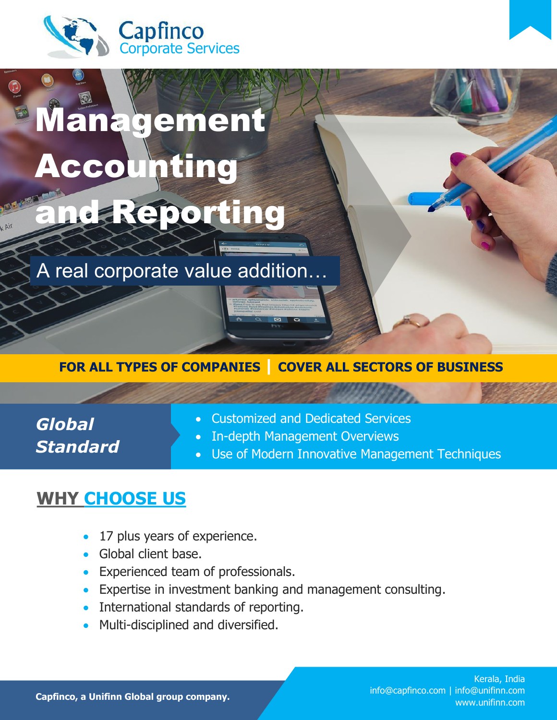

i

# Management Accounting me a Reporting

A real corporate value addition…

#### **FOR ALL TYPES OF COMPANIES | COVER ALL SECTORS OF BUSINESS**

*Global Standard* 

- Customized and Dedicated Services
- In-depth Management Overviews
- Use of Modern Innovative Management Techniques

### **WHY CHOOSE US**

- 17 plus years of experience.
- Global client base.
- **Experienced team of professionals.**
- Expertise in investment banking and management consulting.
- International standards of reporting.
- Multi-disciplined and diversified.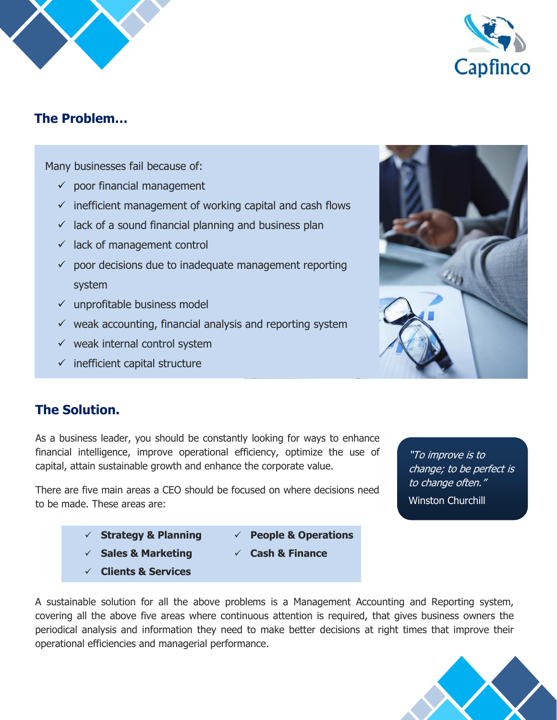



#### **The Problem…**

Many businesses fail because of:

- $\checkmark$  poor financial management
- $\checkmark$  inefficient management of working capital and cash flows
- $\checkmark$  lack of a sound financial planning and business plan
- $\checkmark$  lack of management control
- $\checkmark$  poor decisions due to inadequate management reporting system
- $\checkmark$  unprofitable business model
- $\checkmark$  weak accounting, financial analysis and reporting system
- $\checkmark$  weak internal control system
- $\checkmark$  inefficient capital structure



#### **The Solution.**

As a business leader, you should be constantly looking for ways to enhance financial intelligence, improve operational efficiency, optimize the use of capital, attain sustainable growth and enhance the corporate value.

There are five main areas a CEO should be focused on where decisions need to be made. These areas are:

"To improve is to change; to be perfect is to change often." Winston Churchill

- **Strategy & Planning**
- **Sales & Marketing**
- **Clients & Services**
- **People & Operations**
- **Cash & Finance**
- 

A sustainable solution for all the above problems is a Management Accounting and Reporting system, covering all the above five areas where continuous attention is required, that gives business owners the periodical analysis and information they need to make better decisions at right times that improve their operational efficiencies and managerial performance.

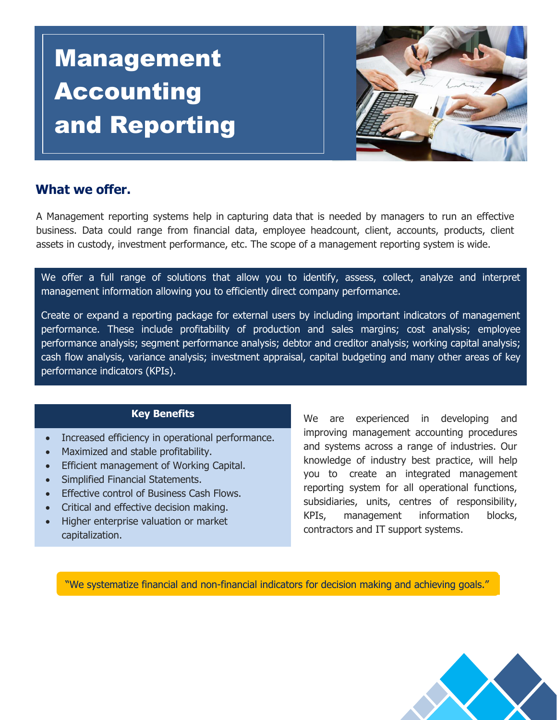## Management Accounting and Reporting



#### **What we offer.**

A Management reporting systems help in capturing data that is needed by managers to run an effective business. Data could range from financial data, employee headcount, client, accounts, products, client assets in custody, investment performance, etc. The scope of a management reporting system is wide.

We offer a full range of solutions that allow you to identify, assess, collect, analyze and interpret management information allowing you to efficiently direct company performance.

Create or expand a reporting package for external users by including important indicators of management performance. These include profitability of production and sales margins; cost analysis; employee performance analysis; segment performance analysis; debtor and creditor analysis; working capital analysis; cash flow analysis, variance analysis; investment appraisal, capital budgeting and many other areas of key performance indicators (KPIs).

#### **Key Benefits**

- Increased efficiency in operational performance.
- Maximized and stable profitability.
- Efficient management of Working Capital.
- Simplified Financial Statements.
- Effective control of Business Cash Flows.
- Critical and effective decision making.
- Higher enterprise valuation or market capitalization.

We are experienced in developing and improving management accounting procedures and systems across a range of industries. Our knowledge of industry best practice, will help you to create an integrated management reporting system for all operational functions, subsidiaries, units, centres of responsibility, KPIs, management information blocks, contractors and IT support systems.

"We systematize financial and non-financial indicators for decision making and achieving goals."